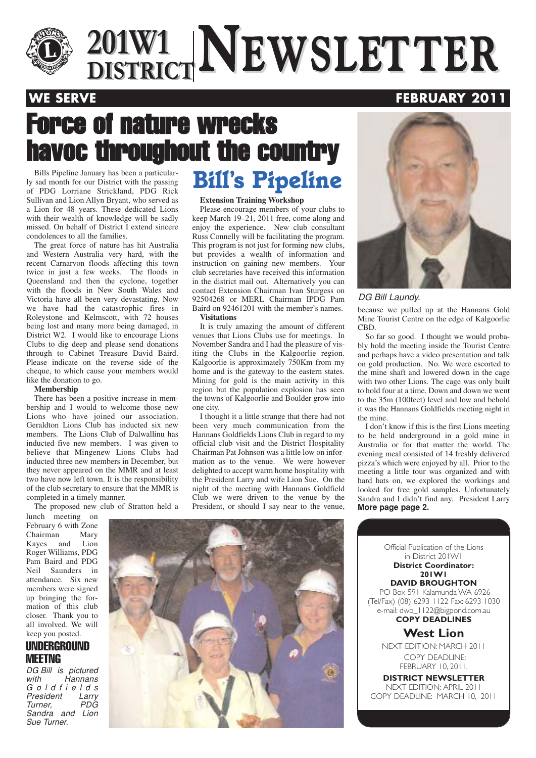

## $\frac{201 \text{W1}}{\text{DISTRICT}}$ **NEWSLETTER 201W1 DISTRICTNEWSLETTER**

### **WE SERVE FEBRUARY 2011**

## Force of nature wrecks havoc throughout the country

ly sad month for our District with the passing of PDG Lorriane Strickland, PDG Rick Sullivan and Lion Allyn Bryant, who served as a Lion for 48 years. These dedicated Lions with their wealth of knowledge will be sadly missed. On behalf of District I extend sincere condolences to all the families.

The great force of nature has hit Australia and Western Australia very hard, with the recent Carnarvon floods affecting this town twice in just a few weeks. The floods in Queensland and then the cyclone, together with the floods in New South Wales and Victoria have all been very devastating. Now we have had the catastrophic fires in Roleystone and Kelmscott, with 72 houses being lost and many more being damaged, in District W2. I would like to encourage Lions Clubs to dig deep and please send donations through to Cabinet Treasure David Baird. Please indicate on the reverse side of the cheque, to which cause your members would like the donation to go.

#### **Membership**

There has been a positive increase in membership and I would to welcome those new Lions who have joined our association. Geraldton Lions Club has inducted six new members. The Lions Club of Dalwallinu has inducted five new members. I was given to believe that Mingenew Lions Clubs had inducted three new members in December, but they never appeared on the MMR and at least two have now left town. It is the responsibility of the club secretary to ensure that the MMR is completed in a timely manner.

The proposed new club of Stratton held a

lunch meeting on February 6 with Zone Chairman Mary Kayes and Lion Roger Williams, PDG Pam Baird and PDG Neil Saunders in attendance. Six new members were signed up bringing the formation of this club closer. Thank you to all involved. We will keep you posted.

### **UNDERGROUND MFFTNG**

DG Bill is pictured<br>with Hannans Hannans Goldfields President Larry<br>Turner. PDG Turner, Sandra and Lion Sue Turner.

## *Bills Pipeline January has been a particular-*<br>sad month for our District with the passing **Bill's Pipeline**

#### **Extension Training Workshop**

Please encourage members of your clubs to keep March 19–21, 2011 free, come along and enjoy the experience. New club consultant Russ Connelly will be facilitating the program. This program is not just for forming new clubs, but provides a wealth of information and instruction on gaining new members. Your club secretaries have received this information in the district mail out. Alternatively you can contact Extension Chairman Ivan Sturgess on 92504268 or MERL Chairman IPDG Pam Baird on 92461201 with the member's names. **Visitations** 

It is truly amazing the amount of different venues that Lions Clubs use for meetings. In November Sandra and I had the pleasure of visiting the Clubs in the Kalgoorlie region. Kalgoorlie is approximately 750Km from my home and is the gateway to the eastern states. Mining for gold is the main activity in this region but the population explosion has seen the towns of Kalgoorlie and Boulder grow into one city.

I thought it a little strange that there had not been very much communication from the Hannans Goldfields Lions Club in regard to my official club visit and the District Hospitality Chairman Pat Johnson was a little low on information as to the venue. We were however delighted to accept warm home hospitality with the President Larry and wife Lion Sue. On the night of the meeting with Hannans Goldfield Club we were driven to the venue by the President, or should I say near to the venue,



#### DG Bill Laundy.

because we pulled up at the Hannans Gold Mine Tourist Centre on the edge of Kalgoorlie CBD.

So far so good. I thought we would probably hold the meeting inside the Tourist Centre and perhaps have a video presentation and talk on gold production. No. We were escorted to the mine shaft and lowered down in the cage with two other Lions. The cage was only built to hold four at a time. Down and down we went to the 35m (100feet) level and low and behold it was the Hannans Goldfields meeting night in the mine.

I don't know if this is the first Lions meeting to be held underground in a gold mine in Australia or for that matter the world. The evening meal consisted of 14 freshly delivered pizza's which were enjoyed by all. Prior to the meeting a little tour was organized and with hard hats on, we explored the workings and looked for free gold samples. Unfortunately Sandra and I didn't find any. President Larry **More page page 2.**



Official Publication of the Lions in District 201W1 **District Coordinator: 201W1 DAVID BROUGHTON** PO Box 591 Kalamunda WA 6926 (Tel/Fax) (08) 6293 1122 Fax: 6293 1030 e-mail: dwb\_1122@bigpond.com.au **COPY DEADLINES West Lion** NEXT EDITION: MARCH 2011 COPY DEADLINE: FEBRUARY 10, 2011.

**DISTRICT NEWSLETTER** NEXT EDITION: APRIL 2011 COPY DEADLINE: MARCH 10, 2011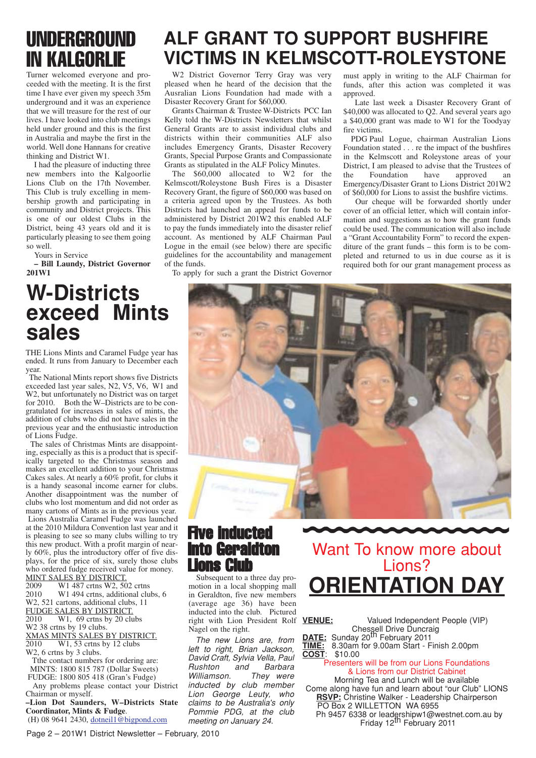## UNDERGROUND IN KALGORLIE

Turner welcomed everyone and proceeded with the meeting. It is the first time I have ever given my speech 35m underground and it was an experience that we will treasure for the rest of our lives. I have looked into club meetings held under ground and this is the first in Australia and maybe the first in the world. Well done Hannans for creative thinking and District W1.

I had the pleasure of inducting three new members into the Kalgoorlie Lions Club on the 17th November. This Club is truly excelling in membership growth and participating in community and District projects. This is one of our oldest Clubs in the District, being 43 years old and it is particularly pleasing to see them going so well.

Yours in Service

**– Bill Laundy, District Governor 201W1**

## **W-Districts exceed Mints sales**

THE Lions Mints and Caramel Fudge year has ended. It runs from January to December each year.

The National Mints report shows five Districts exceeded last year sales, N2, V5, V6, W1 and W2, but unfortunately no District was on target for 2010. Both the W–Districts are to be congratulated for increases in sales of mints, the addition of clubs who did not have sales in the previous year and the enthusiastic introduction of Lions Fudge.

The sales of Christmas Mints are disappointing, especially as this is a product that is specifically targeted to the Christmas season and makes an excellent addition to your Christmas Cakes sales. At nearly a 60% profit, for clubs it is a handy seasonal income earner for clubs. Another disappointment was the number of clubs who lost momentum and did not order as many cartons of Mints as in the previous year. Lions Australia Caramel Fudge was launched at the 2010 Mildura Convention last year and it is pleasing to see so many clubs willing to try this new product. With a profit margin of nearly 60%, plus the introductory offer of five displays, for the price of six, surely those clubs who ordered fudge received value for money.

MINT SALES BY DISTRICT.<br>2009 W1 487 crtns W2, 50

2009 W1 487 crtns W2, 502 crtns<br>2010 W1 494 crtns, additional clu W1 494 crtns, additional clubs, 6 W2, 521 cartons, additional clubs, 11 FUDGE SALES BY DISTRICT<br>2010 W1 69 crtns by 20 cl  $W1$ , 69 crtns by 20 clubs

W2 38 crtns by 19 clubs.

XMAS MINTS SALES BY DISTRICT.<br>2010 W1. 53 crtns by 12 clubs

W1, 53 crtns by 12 clubs

W2, 6 crtns by 3 clubs.

Tthe contact numbers for ordering are: MINTS: 1800 815 787 (Dollar Sweets) FUDGE: 1800 805 418 (Gran's Fudge)

Any problems please contact your District Chairman or myself.

**–Lion Dot Saunders, W–Districts State Coordinator, Mints & Fudge**. (H) 08 9641 2430, dotneil1@bigpond.com

## **ALF GRANT TO SUPPORT BUSHFIRE VICTIMS IN KELMSCOTT-ROLEYSTONE**

W2 District Governor Terry Gray was very pleased when he heard of the decision that the Ausralian Lions Foundation had made with a Disaster Recovery Grant for \$60,000.

Grants Chairman & Trustee W-Districts PCC Ian Kelly told the W-Districts Newsletters that whilst General Grants are to assist individual clubs and districts within their communities ALF also includes Emergency Grants, Disaster Recovery Grants, Special Purpose Grants and Compassionate Grants as stipulated in the ALF Policy Minutes.

The \$60,000 allocated to W2 for the Kelmscott/Roleystone Bush Fires is a Disaster Recovery Grant, the figure of \$60,000 was based on a criteria agreed upon by the Trustees. As both Districts had launched an appeal for funds to be administered by District 201W2 this enabled ALF to pay the funds immediately into the disaster relief account. As mentioned by ALF Chairman Paul Logue in the email (see below) there are specific guidelines for the accountability and management of the funds.

To apply for such a grant the District Governor

must apply in writing to the ALF Chairman for funds, after this action was completed it was approved.

Late last week a Disaster Recovery Grant of \$40,000 was allocated to Q2. And several years ago a \$40,000 grant was made to W1 for the Toodyay fire victims.

PDG Paul Logue, chairman Australian Lions Foundation stated . . . re the impact of the bushfires in the Kelmscott and Roleystone areas of your District, I am pleased to advise that the Trustees of<br>the Foundation have approved an the Foundation have approved an Emergency/Disaster Grant to Lions District 201W2 of \$60,000 for Lions to assist the bushfire victims.

Our cheque will be forwarded shortly under cover of an official letter, which will contain information and suggestions as to how the grant funds could be used. The communication will also include a "Grant Accountability Form" to record the expenditure of the grant funds – this form is to be completed and returned to us in due course as it is required both for our grant management process as



### Five inducted into Geraldton Lions Club

Subsequent to a three day promotion in a local shopping mall in Geraldton, five new members (average age 36) have been inducted into the club. Pictured right with Lion President Rolf Nagel on the right.

The new Lions are, from left to right, Brian Jackson, David Craft, Sylvia Vella, Paul Rushton and Barbara Williamson. They were inducted by club member Lion George Leuty, who claims to be Australia's only Pommie PDG, at the club meeting on January 24.

## Want To know more about Lions? **ORIENTATION DAY**

**VENUE:** Valued Independent People (VIP) Chessell Drive Duncraig **DATE:** Sunday 20th February 2011

**TIME:** 8.30am for 9.00am Start - Finish 2.00pm **COST**: \$10.00

#### Presenters will be from our Lions Foundations & Lions from our District Cabinet

Morning Tea and Lunch will be available Come along have fun and learn about "our Club" LIONS **RSVP:** Christine Walker - Leadership Chairperson PO Box 2 WILLETTON WA 6955 Ph 9457 6338 or leadershipw1@westnet.com.au by<br>Friday 12<sup>th</sup> February 2011

Page 2 – 201W1 District Newsletter – February, 2010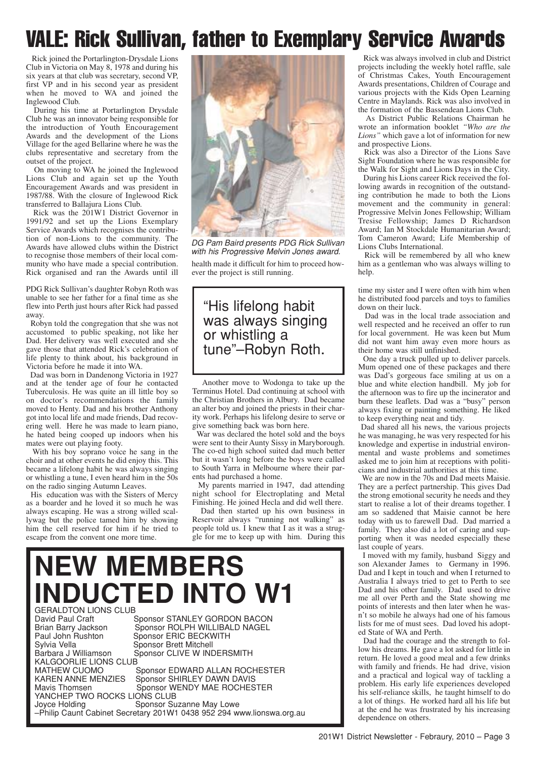## VALE: Rick Sullivan, father to Exemplary Service Awards

Rick joined the Portarlington-Drysdale Lions Club in Victoria on May 8, 1978 and during his six years at that club was secretary, second VP, first VP and in his second year as president when he moved to WA and joined the Inglewood Club.

During his time at Portarlington Drysdale Club he was an innovator being responsible for the introduction of Youth Encouragement Awards and the development of the Lions Village for the aged Bellarine where he was the clubs representative and secretary from the outset of the project.

On moving to WA he joined the Inglewood Lions Club and again set up the Youth Encouragement Awards and was president in 1987/88. With the closure of Inglewood Rick transferred to Ballajura Lions Club.

Rick was the 201W1 District Governor in 1991/92 and set up the Lions Exemplary Service Awards which recognises the contribution of non-Lions to the community. The Awards have allowed clubs within the District to recognise those members of their local community who have made a special contribution. Rick organised and ran the Awards until ill

PDG Rick Sullivan's daughter Robyn Roth was unable to see her father for a final time as she flew into Perth just hours after Rick had passed away.

Robyn told the congregation that she was not accustomed to public speaking, not like her Dad. Her delivery was well executed and she gave those that attended Rick's celebration of life plenty to think about, his background in Victoria before he made it into WA.

Dad was born in Dandenong Victoria in 1927 and at the tender age of four he contacted Tuberculosis. He was quite an ill little boy so on doctor's recommendations the family moved to Henty. Dad and his brother Anthony got into local life and made friends, Dad recovering well. Here he was made to learn piano, he hated being cooped up indoors when his mates were out playing footy.

With his boy soprano voice he sang in the choir and at other events he did enjoy this. This became a lifelong habit he was always singing or whistling a tune, I even heard him in the 50s on the radio singing Autumn Leaves.

His education was with the Sisters of Mercy as a boarder and he loved it so much he was always escaping. He was a strong willed scallywag but the police tamed him by showing him the cell reserved for him if he tried to escape from the convent one more time.



health made it difficult for him to proceed however the project is still running. DG Pam Baird presents PDG Rick Sullivan with his Progressive Melvin Jones award.

### "His lifelong habit was always singing or whistling a tune"–Robyn Roth.

Another move to Wodonga to take up the Terminus Hotel. Dad continuing at school with the Christian Brothers in Albury. Dad became an alter boy and joined the priests in their charity work. Perhaps his lifelong desire to serve or give something back was born here.

War was declared the hotel sold and the boys were sent to their Aunty Sissy in Maryborough. The co-ed high school suited dad much better but it wasn't long before the boys were called to South Yarra in Melbourne where their parents had purchased a home.

My parents married in 1947, dad attending night school for Electroplating and Metal Finishing. He joined Hecla and did well there.

Dad then started up his own business in Reservoir always "running not walking" as people told us. I knew that I as it was a struggle for me to keep up with him. During this

## **NEW MEMBERS INDUCTED INTO W1**

GERALDTON LIONS CLUB<br>David Paul Craft (1997) David Paul Craft Sponsor STANLEY GORDON BACON<br>Brian Barry Jackson Sponsor ROLPH WILLIBALD NAGEL Brian Barry Jackson Sponsor ROLPH WILLIBALD NAGEL<br>
Paul John Rushton Sponsor ERIC BECKWITH Paul John Rushton Sponsor ERIC BECKWITH<br>Sulvia Vella Sponsor Brett Mitchell Sylvia Vella **Sponsor Brett Mitchell**<br>Barbara J Williamson Sponsor CLIVE W IND Sponsor CLIVE W INDERSMITH KALGOORLIE LIONS CLUB<br>MATHEW CUOMO MATHEW CUOMO Sponsor EDWARD ALLAN ROCHESTER<br>KAREN ANNE MENZIES Sponsor SHIRLEY DAWN DAVIS KAREN ANNE MENZIES Sponsor SHIRLEY DAWN DAVIS<br>Mavis Thomsen Sponsor WENDY MAE ROCHES Sponsor WENDY MAE ROCHESTER **YANCHEP TWO ROCKS LIONS CLUB**<br>Joyce Holding Sponsor Su Sponsor Suzanne May Lowe –Philip Caunt Cabinet Secretary 201W1 0438 952 294 www.lionswa.org.au

Rick was always involved in club and District projects including the weekly hotel raffle, sale of Christmas Cakes, Youth Encouragement Awards presentations, Children of Courage and various projects with the Kids Open Learning Centre in Maylands. Rick was also involved in the formation of the Bassendean Lions Club.

As District Public Relations Chairman he wrote an information booklet *"Who are the Lions"* which gave a lot of information for new and prospective Lions.

Rick was also a Director of the Lions Save Sight Foundation where he was responsible for the Walk for Sight and Lions Days in the City.

During his Lions career Rick received the following awards in recognition of the outstanding contribution he made to both the Lions movement and the community in general: Progressive Melvin Jones Fellowship; William Tresise Fellowship; James D Richardson Award; Ian M Stockdale Humanitarian Award; Tom Cameron Award; Life Membership of Lions Clubs International.

Rick will be remembered by all who knew him as a gentleman who was always willing to help.

time my sister and I were often with him when he distributed food parcels and toys to families down on their luck.

Dad was in the local trade association and well respected and he received an offer to run for local government. He was keen but Mum did not want him away even more hours as their home was still unfinished.

One day a truck pulled up to deliver parcels. Mum opened one of these packages and there was Dad's gorgeous face smiling at us on a blue and white election handbill. My job for the afternoon was to fire up the incinerator and burn these leaflets. Dad was a "busy" person always fixing or painting something. He liked to keep everything neat and tidy.

Dad shared all his news, the various projects he was managing, he was very respected for his knowledge and expertise in industrial environmental and waste problems and sometimes asked me to join him at receptions with politicians and industrial authorities at this time.

We are now in the 70s and Dad meets Maisie. They are a perfect partnership. This gives Dad the strong emotional security he needs and they start to realise a lot of their dreams together. I am so saddened that Maisie cannot be here today with us to farewell Dad. Dad married a family. They also did a lot of caring and supporting when it was needed especially these last couple of years.

I moved with my family, husband Siggy and son Alexander James to Germany in 1996. Dad and I kept in touch and when I returned to Australia I always tried to get to Perth to see Dad and his other family. Dad used to drive me all over Perth and the State showing me points of interests and then later when he wasn't so mobile he always had one of his famous lists for me of must sees. Dad loved his adopted State of WA and Perth.

Dad had the courage and the strength to follow his dreams. He gave a lot asked for little in return. He loved a good meal and a few drinks with family and friends. He had drive, vision and a practical and logical way of tackling a problem. His early life experiences developed his self-reliance skills, he taught himself to do a lot of things. He worked hard all his life but at the end he was frustrated by his increasing dependence on others.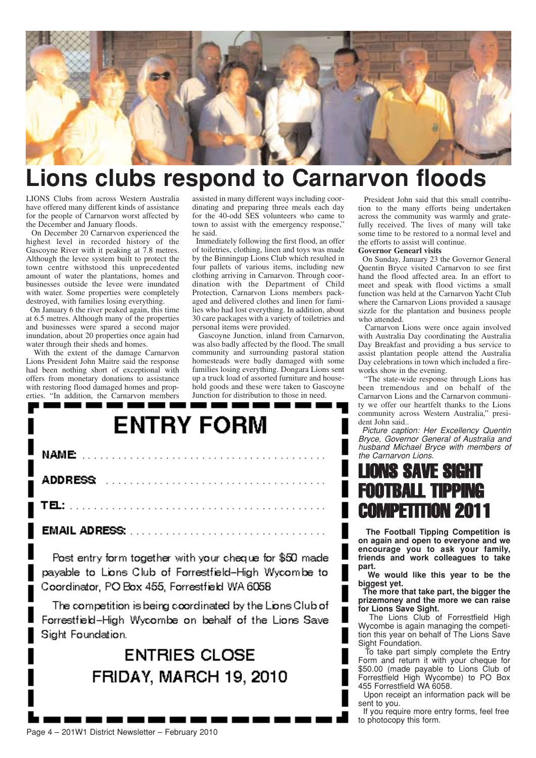

## **Lions clubs respond to Carnarvon floods**

LIONS Clubs from across Western Australia have offered many different kinds of assistance for the people of Carnarvon worst affected by the December and January floods.

On December 20 Carnarvon experienced the highest level in recorded history of the Gascoyne River with it peaking at 7.8 metres. Although the levee system built to protect the town centre withstood this unprecedented amount of water the plantations, homes and businesses outside the levee were inundated with water. Some properties were completely destroyed, with families losing everything.

On January 6 the river peaked again, this time at 6.5 metres. Although many of the properties and businesses were spared a second major inundation, about 20 properties once again had water through their sheds and homes.

With the extent of the damage Carnarvon Lions President John Maitre said the response had been nothing short of exceptional with offers from monetary donations to assistance with restoring flood damaged homes and properties. "In addition, the Carnarvon members assisted in many different ways including coordinating and preparing three meals each day for the 40-odd SES volunteers who came to town to assist with the emergency response," he said.

Immediately following the first flood, an offer of toiletries, clothing, linen and toys was made by the Binningup Lions Club which resulted in four pallets of various items, including new clothing arriving in Carnarvon. Through coordination with the Department of Child Protection, Carnarvon Lions members packaged and delivered clothes and linen for families who had lost everything. In addition, about 30 care packages with a variety of toiletries and personal items were provided.

Gascoyne Junction, inland from Carnarvon, was also badly affected by the flood. The small community and surrounding pastoral station homesteads were badly damaged with some families losing everything. Dongara Lions sent up a truck load of assorted furniture and household goods and these were taken to Gascoyne Junction for distribution to those in need.

# **ENTRY FORM**

| ADDRESS And a communication of the community of the set of the set of the set of the set of the set of the set of the set of the set of the set of the set of the set of the set of the set of the set of the set of the set o |  |
|--------------------------------------------------------------------------------------------------------------------------------------------------------------------------------------------------------------------------------|--|
|                                                                                                                                                                                                                                |  |
|                                                                                                                                                                                                                                |  |

Post entry form together with your cheque for \$50 made payable to Lions Club of Forrestfield-High Wycombe to Coordinator, PO Box 455, Forrestfield WA 6058

The competition is being coordinated by the Lions Club of Forrestfield-High Wycombe on behalf of the Lions Save Sight Foundation.

### **ENTRIES CLOSE FRIDAY, MARCH 19, 2010**

President John said that this small contribution to the many efforts being undertaken across the community was warmly and gratefully received. The lives of many will take some time to be restored to a normal level and the efforts to assist will continue.

**Governor Genearl visits**

On Sunday, January 23 the Governor General Quentin Bryce visited Carnarvon to see first hand the flood affected area. In an effort to meet and speak with flood victims a small function was held at the Carnarvon Yacht Club where the Carnarvon Lions provided a sausage sizzle for the plantation and business people who attended.

Carnarvon Lions were once again involved with Australia Day coordinating the Australia Day Breakfast and providing a bus service to assist plantation people attend the Australia Day celebrations in town which included a fireworks show in the evening.

"The state-wide response through Lions has been tremendous and on behalf of the Carnarvon Lions and the Carnarvon community we offer our heartfelt thanks to the Lions community across Western Australia," president John said..

Picture caption: Her Excellency Quentin Bryce, Governor General of Australia and husband Michael Bryce with members of the Carnarvon Lions.

## NNS SAVE SIG FOOTBALL TIPPING COMPETITION 2011

**The Football Tipping Competition is on again and open to everyone and we encourage you to ask your family, friends and work colleagues to take part.** 

**We would like this year to be the biggest yet.** 

**The more that take part, the bigger the prizemoney and the more we can raise for Lions Save Sight.**

The Lions Club of Forrestfield High Wycombe is again managing the competition this year on behalf of The Lions Save Sight Foundation.

To take part simply complete the Entry Form and return it with your cheque for \$50.00 (made payable to Lions Club of Forrestfield High Wycombe) to PO Box 455 Forrestfield WA 6058.

Upon receipt an information pack will be sent to you.

If you require more entry forms, feel free to photocopy this form.

#### Page 4 – 201W1 District Newsletter – February 2010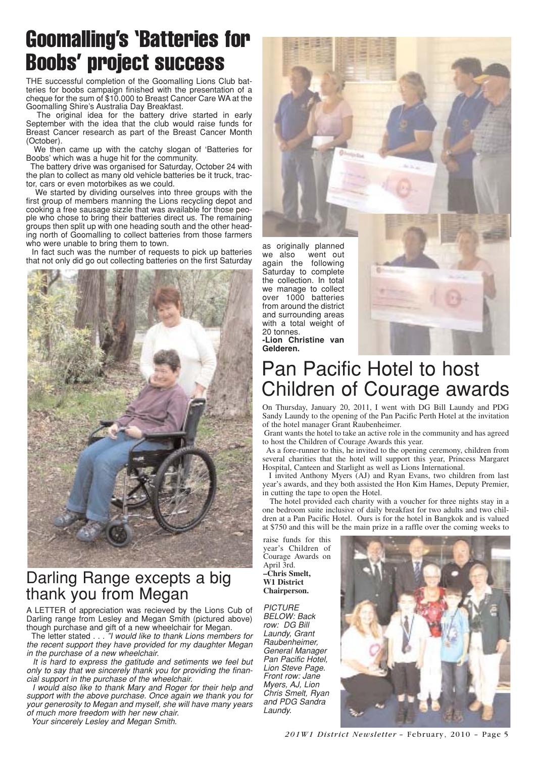## Goomalling's 'Batteries for Boobs' project success

THE successful completion of the Goomalling Lions Club batteries for boobs campaign finished with the presentation of a cheque for the sum of \$10.000 to Breast Cancer Care WA at the Goomalling Shire's Australia Day Breakfast.

The original idea for the battery drive started in early September with the idea that the club would raise funds for Breast Cancer research as part of the Breast Cancer Month (October).

We then came up with the catchy slogan of 'Batteries for Boobs' which was a huge hit for the community.

The battery drive was organised for Saturday, October 24 with the plan to collect as many old vehicle batteries be it truck, tractor, cars or even motorbikes as we could.

We started by dividing ourselves into three groups with the first group of members manning the Lions recycling depot and cooking a free sausage sizzle that was available for those people who chose to bring their batteries direct us. The remaining groups then split up with one heading south and the other heading north of Goomalling to collect batteries from those farmers who were unable to bring them to town.

In fact such was the number of requests to pick up batteries that not only did go out collecting batteries on the first Saturday



### Darling Range excepts a big thank you from Megan

A LETTER of appreciation was recieved by the Lions Cub of Darling range from Lesley and Megan Smith (pictured above) though purchase and gift of a new wheelchair for Megan.

The letter stated . . . "I would like to thank Lions members for the recent support they have provided for my daughter Megan in the purchase of a new wheelchair.

It is hard to express the gatitude and setiments we feel but only to say that we sincerely thank you for providing the financial support in the purchase of the wheelchair.

I would also like to thank Mary and Roger for their help and support with the above purchase. Once again we thank you for your generosity to Megan and myself, she will have many years of much more freedom with her new chair.

Your sincerely Lesley and Megan Smith.

as originally planned we also went out again the following Saturday to complete the collection. In total we manage to collect over 1000 batteries from around the district and surrounding areas with a total weight of 20 tonnes.



## Pan Pacific Hotel to host Children of Courage awards

On Thursday, January 20, 2011, I went with DG Bill Laundy and PDG Sandy Laundy to the opening of the Pan Pacific Perth Hotel at the invitation of the hotel manager Grant Raubenheimer.

Grant wants the hotel to take an active role in the community and has agreed to host the Children of Courage Awards this year.

As a fore-runner to this, he invited to the opening ceremony, children from several charities that the hotel will support this year, Princess Margaret Hospital, Canteen and Starlight as well as Lions International.

I invited Anthony Myers (AJ) and Ryan Evans, two children from last year's awards, and they both assisted the Hon Kim Hames, Deputy Premier, in cutting the tape to open the Hotel.

The hotel provided each charity with a voucher for three nights stay in a one bedroom suite inclusive of daily breakfast for two adults and two children at a Pan Pacific Hotel. Ours is for the hotel in Bangkok and is valued at \$750 and this will be the main prize in a raffle over the coming weeks to

raise funds for this year's Children of Courage Awards on April 3rd. **–Chris Smelt, W1 District Chairperson.**

**PICTURE** BELOW: Back row: DG Bill Laundy, Grant Raubenheimer, General Manager Pan Pacific Hotel, Lion Steve Page. Front row: Jane Myers, AJ, Lion Chris Smelt, Ryan and PDG Sandra Laundy.